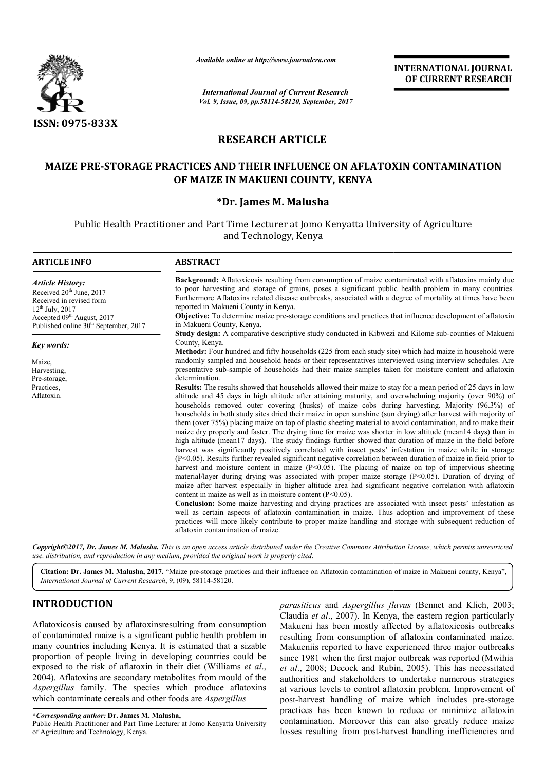

*Available online at http://www.journalcra.com*

*International Journal of Current Research Vol. 9, Issue, 09, pp.58114-58120, September, 2017* **INTERNATIONAL JOURNAL OF CURRENT RESEARCH**

# **RESEARCH ARTICLE**

# MAIZE PRE-STORAGE PRACTICES AND THEIR INFLUENCE ON AFLATOXIN CONTAMINATION<br>OF MAIZE IN MAKUENI COUNTY, KENYA<br>PDr. James M. Malusha\* **OF MAIZE IN MAKUENI COUNTY, KENYA**

Public Health Practitioner and Part Time Lecturer at Jomo Kenyatta University of Agriculture and Technology, Kenya

| <b>ARTICLE INFO</b>                                                                                                                                                                                                | <b>ABSTRACT</b>                                                                                                                                                                                                                                                                                                                                                                                                                                                                                                                                                                                                                                                                                                                                                                                                                                                                                                                                                                                                                                                                                                                                                                                                                                                                                                                                                                                                                                                                                                                                                                                                                                                                                                                                                                                                                                                                                                                                                                                                                               |  |  |
|--------------------------------------------------------------------------------------------------------------------------------------------------------------------------------------------------------------------|-----------------------------------------------------------------------------------------------------------------------------------------------------------------------------------------------------------------------------------------------------------------------------------------------------------------------------------------------------------------------------------------------------------------------------------------------------------------------------------------------------------------------------------------------------------------------------------------------------------------------------------------------------------------------------------------------------------------------------------------------------------------------------------------------------------------------------------------------------------------------------------------------------------------------------------------------------------------------------------------------------------------------------------------------------------------------------------------------------------------------------------------------------------------------------------------------------------------------------------------------------------------------------------------------------------------------------------------------------------------------------------------------------------------------------------------------------------------------------------------------------------------------------------------------------------------------------------------------------------------------------------------------------------------------------------------------------------------------------------------------------------------------------------------------------------------------------------------------------------------------------------------------------------------------------------------------------------------------------------------------------------------------------------------------|--|--|
| <b>Article History:</b><br>Received 20 <sup>th</sup> June, 2017<br>Received in revised form<br>$12^{th}$ July, 2017<br>Accepted 09 <sup>th</sup> August, 2017<br>Published online 30 <sup>th</sup> September, 2017 | <b>Background:</b> Aflatoxicosis resulting from consumption of maize contaminated with aflatoxins mainly due<br>to poor harvesting and storage of grains, poses a significant public health problem in many countries.<br>Furthermore Aflatoxins related disease outbreaks, associated with a degree of mortality at times have been<br>reported in Makueni County in Kenya.<br>Objective: To determine maize pre-storage conditions and practices that influence development of aflatoxin<br>in Makueni County, Kenya.                                                                                                                                                                                                                                                                                                                                                                                                                                                                                                                                                                                                                                                                                                                                                                                                                                                                                                                                                                                                                                                                                                                                                                                                                                                                                                                                                                                                                                                                                                                       |  |  |
| Key words:                                                                                                                                                                                                         | Study design: A comparative descriptive study conducted in Kibwezi and Kilome sub-counties of Makueni<br>County, Kenya.<br>Methods: Four hundred and fifty households (225 from each study site) which had maize in household were                                                                                                                                                                                                                                                                                                                                                                                                                                                                                                                                                                                                                                                                                                                                                                                                                                                                                                                                                                                                                                                                                                                                                                                                                                                                                                                                                                                                                                                                                                                                                                                                                                                                                                                                                                                                            |  |  |
| Maize,<br>Harvesting,<br>Pre-storage,<br>Practices.<br>Aflatoxin.                                                                                                                                                  | randomly sampled and household heads or their representatives interviewed using interview schedules. Are<br>presentative sub-sample of households had their maize samples taken for moisture content and aflatoxin<br>determination.<br><b>Results:</b> The results showed that households allowed their maize to stay for a mean period of 25 days in low<br>altitude and 45 days in high altitude after attaining maturity, and overwhelming majority (over 90%) of<br>households removed outer covering (husks) of maize cobs during harvesting. Majority (96.3%) of<br>households in both study sites dried their maize in open sunshine (sun drying) after harvest with majority of<br>them (over 75%) placing maize on top of plastic sheeting material to avoid contamination, and to make their<br>maize dry properly and faster. The drying time for maize was shorter in low altitude (mean14 days) than in<br>high altitude (mean17 days). The study findings further showed that duration of maize in the field before<br>harvest was significantly positively correlated with insect pests' infestation in maize while in storage<br>(P<0.05). Results further revealed significant negative correlation between duration of maize in field prior to<br>harvest and moisture content in maize $(P<0.05)$ . The placing of maize on top of impervious sheeting<br>material/layer during drying was associated with proper maize storage $(P<0.05)$ . Duration of drying of<br>maize after harvest especially in higher altitude area had significant negative correlation with aflatoxin<br>content in maize as well as in moisture content $(P<0.05)$ .<br><b>Conclusion:</b> Some maize harvesting and drying practices are associated with insect pests' infestation as<br>well as certain aspects of aflatoxin contamination in maize. Thus adoption and improvement of these<br>practices will more likely contribute to proper maize handling and storage with subsequent reduction of<br>aflatoxin contamination of maize. |  |  |

Copyright©2017, Dr. James M. Malusha. This is an open access article distributed under the Creative Commons Attribution License, which permits unrestricted *use, distribution, and reproduction in any medium, provided the original work is properly cited.*

Citation: Dr. James M. Malusha, 2017. "Maize pre-storage practices and their influence on Aflatoxin contamination of maize in Makueni county, Kenya", International Journal of Current Research, 9, (09), 58114-58120.

# **INTRODUCTION**

Aflatoxicosis caused by aflatoxinsresulting from consumption of contaminated maize is a significant public health problem in many countries including Kenya. It is estimated that a sizable proportion of people living in developing countries could be exposed to the risk of aflatoxin in their diet (Williams et al., 2004). Aflatoxins are secondary metabolites from mould of the *Aspergillus* family. The species which produce aflatoxins which contaminate cereals and other foods are *Aspergillus* 

**\****Corresponding author:* **Dr. James M. Malusha,**

Public Health Practitioner and Part Time Lecturer at Jomo Kenyatta University of Agriculture and Technology, Kenya.

*parasiticus* and *Aspergillus flavus* (Bennet and Klich, 2003; Claudia *et al*., 2007). In Kenya, the eastern region particularly Makueni has been mostly affected by aflatoxicosis outbreaks Claudia et al., 2007). In Kenya, the eastern region particularly Makueni has been mostly affected by aflatoxicosis outbreaks resulting from consumption of aflatoxin contaminated maize. Makueniis reported to have experienced three major outbreaks Makueniis reported to have experienced three major outbreaks<br>since 1981 when the first major outbreak was reported (Mwihia et al., 2008; Decock and Rubin, 2005). This has necessitated authorities and stakeholders to undertake numerous strategies at various levels to control aflatoxin problem. Improvement of at various levels to control aflatoxin problem. Improvement of post-harvest handling of maize which includes pre-storage practices has been known to reduce or minimize aflatoxin contamination. Moreover this can also greatly reduce maize contamination. Moreover this can also greatly reduce maize losses resulting from post-harvest handling inefficiencies and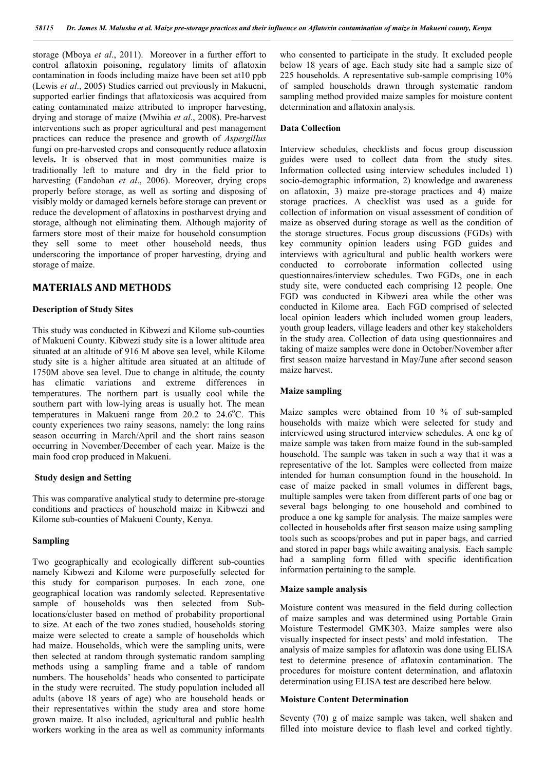storage (Mboya *et al*., 2011). Moreover in a further effort to control aflatoxin poisoning, regulatory limits of aflatoxin contamination in foods including maize have been set at10 ppb (Lewis *et al*., 2005) Studies carried out previously in Makueni, supported earlier findings that aflatoxicosis was acquired from eating contaminated maize attributed to improper harvesting, drying and storage of maize (Mwihia *et al*., 2008). Pre-harvest interventions such as proper agricultural and pest management practices can reduce the presence and growth of *Aspergillus*  fungi on pre-harvested crops and consequently reduce aflatoxin levels**.** It is observed that in most communities maize is traditionally left to mature and dry in the field prior to harvesting (Fandohan *et al*., 2006). Moreover, drying crops properly before storage, as well as sorting and disposing of visibly moldy or damaged kernels before storage can prevent or reduce the development of aflatoxins in postharvest drying and storage, although not eliminating them. Although majority of farmers store most of their maize for household consumption they sell some to meet other household needs, thus underscoring the importance of proper harvesting, drying and storage of maize.

# **MATERIALS AND METHODS**

# **Description of Study Sites**

This study was conducted in Kibwezi and Kilome sub-counties of Makueni County. Kibwezi study site is a lower altitude area situated at an altitude of 916 M above sea level, while Kilome study site is a higher altitude area situated at an altitude of 1750M above sea level. Due to change in altitude, the county has climatic variations and extreme differences in temperatures. The northern part is usually cool while the southern part with low-lying areas is usually hot. The mean temperatures in Makueni range from  $20.2$  to  $24.6^{\circ}$ C. This county experiences two rainy seasons, namely: the long rains season occurring in March/April and the short rains season occurring in November/December of each year. Maize is the main food crop produced in Makueni.

# **Study design and Setting**

This was comparative analytical study to determine pre-storage conditions and practices of household maize in Kibwezi and Kilome sub-counties of Makueni County, Kenya.

#### **Sampling**

Two geographically and ecologically different sub-counties namely Kibwezi and Kilome were purposefully selected for this study for comparison purposes. In each zone, one geographical location was randomly selected. Representative sample of households was then selected from Sublocations/cluster based on method of probability proportional to size. At each of the two zones studied, households storing maize were selected to create a sample of households which had maize. Households, which were the sampling units, were then selected at random through systematic random sampling methods using a sampling frame and a table of random numbers. The households' heads who consented to participate in the study were recruited. The study population included all adults (above 18 years of age) who are household heads or their representatives within the study area and store home grown maize. It also included, agricultural and public health workers working in the area as well as community informants

who consented to participate in the study. It excluded people below 18 years of age. Each study site had a sample size of 225 households. A representative sub-sample comprising 10% of sampled households drawn through systematic random sampling method provided maize samples for moisture content determination and aflatoxin analysis.

#### **Data Collection**

Interview schedules, checklists and focus group discussion guides were used to collect data from the study sites. Information collected using interview schedules included 1) socio-demographic information, 2) knowledge and awareness on aflatoxin, 3) maize pre-storage practices and 4) maize storage practices. A checklist was used as a guide for collection of information on visual assessment of condition of maize as observed during storage as well as the condition of the storage structures. Focus group discussions (FGDs) with key community opinion leaders using FGD guides and interviews with agricultural and public health workers were conducted to corroborate information collected using questionnaires/interview schedules. Two FGDs, one in each study site, were conducted each comprising 12 people. One FGD was conducted in Kibwezi area while the other was conducted in Kilome area. Each FGD comprised of selected local opinion leaders which included women group leaders, youth group leaders, village leaders and other key stakeholders in the study area. Collection of data using questionnaires and taking of maize samples were done in October/November after first season maize harvestand in May/June after second season maize harvest.

# **Maize sampling**

Maize samples were obtained from 10 % of sub-sampled households with maize which were selected for study and interviewed using structured interview schedules. A one kg of maize sample was taken from maize found in the sub-sampled household. The sample was taken in such a way that it was a representative of the lot. Samples were collected from maize intended for human consumption found in the household. In case of maize packed in small volumes in different bags, multiple samples were taken from different parts of one bag or several bags belonging to one household and combined to produce a one kg sample for analysis. The maize samples were collected in households after first season maize using sampling tools such as scoops/probes and put in paper bags, and carried and stored in paper bags while awaiting analysis. Each sample had a sampling form filled with specific identification information pertaining to the sample.

#### **Maize sample analysis**

Moisture content was measured in the field during collection of maize samples and was determined using Portable Grain Moisture Testermodel GMK303. Maize samples were also visually inspected for insect pests' and mold infestation. The analysis of maize samples for aflatoxin was done using ELISA test to determine presence of aflatoxin contamination. The procedures for moisture content determination, and aflatoxin determination using ELISA test are described here below.

# **Moisture Content Determination**

Seventy (70) g of maize sample was taken, well shaken and filled into moisture device to flash level and corked tightly.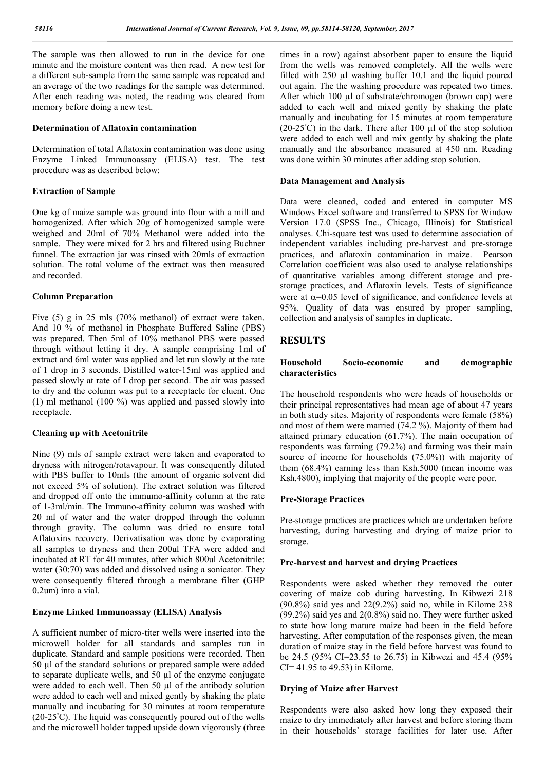The sample was then allowed to run in the device for one minute and the moisture content was then read. A new test for a different sub-sample from the same sample was repeated and an average of the two readings for the sample was determined. After each reading was noted, the reading was cleared from memory before doing a new test.

# **Determination of Aflatoxin contamination**

Determination of total Aflatoxin contamination was done using Enzyme Linked Immunoassay (ELISA) test. The test procedure was as described below:

# **Extraction of Sample**

One kg of maize sample was ground into flour with a mill and homogenized. After which 20g of homogenized sample were weighed and 20ml of 70% Methanol were added into the sample. They were mixed for 2 hrs and filtered using Buchner funnel. The extraction jar was rinsed with 20mls of extraction solution. The total volume of the extract was then measured and recorded.

# **Column Preparation**

Five (5) g in 25 mls (70% methanol) of extract were taken. And 10 % of methanol in Phosphate Buffered Saline (PBS) was prepared. Then 5ml of 10% methanol PBS were passed through without letting it dry. A sample comprising 1ml of extract and 6ml water was applied and let run slowly at the rate of 1 drop in 3 seconds. Distilled water-15ml was applied and passed slowly at rate of I drop per second. The air was passed to dry and the column was put to a receptacle for eluent. One (1) ml methanol (100 %) was applied and passed slowly into receptacle.

# **Cleaning up with Acetonitrile**

Nine (9) mls of sample extract were taken and evaporated to dryness with nitrogen/rotavapour. It was consequently diluted with PBS buffer to 10mls (the amount of organic solvent did not exceed 5% of solution). The extract solution was filtered and dropped off onto the immumo-affinity column at the rate of 1-3ml/min. The Immuno-affinity column was washed with 20 ml of water and the water dropped through the column through gravity. The column was dried to ensure total Aflatoxins recovery. Derivatisation was done by evaporating all samples to dryness and then 200ul TFA were added and incubated at RT for 40 minutes, after which 800ul Acetonitrile: water (30:70) was added and dissolved using a sonicator. They were consequently filtered through a membrane filter (GHP 0.2um) into a vial.

# **Enzyme Linked Immunoassay (ELISA) Analysis**

A sufficient number of micro-titer wells were inserted into the microwell holder for all standards and samples run in duplicate. Standard and sample positions were recorded. Then 50 µl of the standard solutions or prepared sample were added to separate duplicate wells, and 50 µl of the enzyme conjugate were added to each well. Then 50 µl of the antibody solution were added to each well and mixed gently by shaking the plate manually and incubating for 30 minutes at room temperature (20-25◦ C). The liquid was consequently poured out of the wells and the microwell holder tapped upside down vigorously (three

times in a row) against absorbent paper to ensure the liquid from the wells was removed completely. All the wells were filled with 250 µl washing buffer 10.1 and the liquid poured out again. The the washing procedure was repeated two times. After which 100 µl of substrate/chromogen (brown cap) were added to each well and mixed gently by shaking the plate manually and incubating for 15 minutes at room temperature (20-25<sup>°</sup>C) in the dark. There after 100  $\mu$ l of the stop solution were added to each well and mix gently by shaking the plate manually and the absorbance measured at 450 nm. Reading was done within 30 minutes after adding stop solution.

# **Data Management and Analysis**

Data were cleaned, coded and entered in computer MS Windows Excel software and transferred to SPSS for Window Version 17.0 (SPSS Inc., Chicago, Illinois) for Statistical analyses. Chi-square test was used to determine association of independent variables including pre-harvest and pre-storage practices, and aflatoxin contamination in maize. Pearson Correlation coefficient was also used to analyse relationships of quantitative variables among different storage and prestorage practices, and Aflatoxin levels. Tests of significance were at  $\alpha$ =0.05 level of significance, and confidence levels at 95%. Quality of data was ensured by proper sampling, collection and analysis of samples in duplicate.

# **RESULTS**

# **Household Socio-economic and demographic characteristics**

The household respondents who were heads of households or their principal representatives had mean age of about 47 years in both study sites. Majority of respondents were female (58%) and most of them were married (74.2 %). Majority of them had attained primary education (61.7%). The main occupation of respondents was farming (79.2%) and farming was their main source of income for households (75.0%)) with majority of them (68.4%) earning less than Ksh.5000 (mean income was Ksh.4800), implying that majority of the people were poor.

# **Pre-Storage Practices**

Pre-storage practices are practices which are undertaken before harvesting, during harvesting and drying of maize prior to storage.

# **Pre-harvest and harvest and drying Practices**

Respondents were asked whether they removed the outer covering of maize cob during harvesting**.** In Kibwezi 218 (90.8%) said yes and 22(9.2%) said no, while in Kilome 238 (99.2%) said yes and 2(0.8%) said no. They were further asked to state how long mature maize had been in the field before harvesting. After computation of the responses given, the mean duration of maize stay in the field before harvest was found to be 24.5 (95% CI=23.55 to 26.75) in Kibwezi and 45.4 (95% CI= 41.95 to 49.53) in Kilome.

# **Drying of Maize after Harvest**

Respondents were also asked how long they exposed their maize to dry immediately after harvest and before storing them in their households' storage facilities for later use. After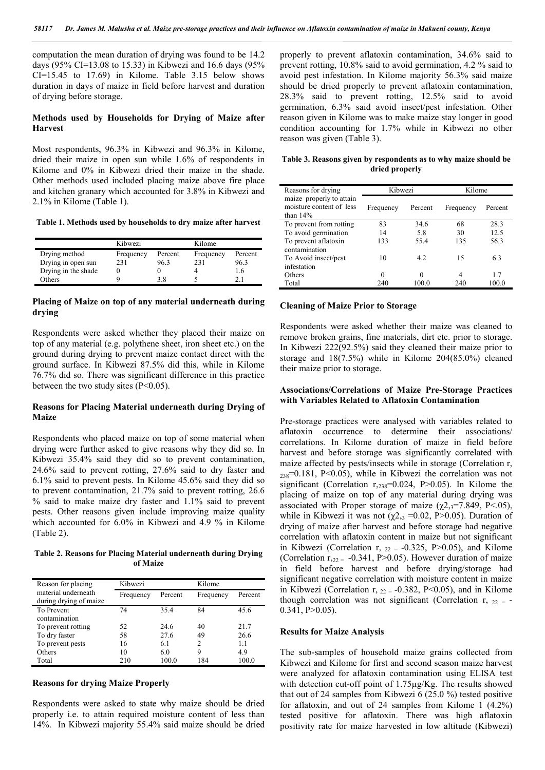computation the mean duration of drying was found to be 14.2 days (95% CI=13.08 to 15.33) in Kibwezi and 16.6 days (95% CI=15.45 to 17.69) in Kilome. Table 3.15 below shows duration in days of maize in field before harvest and duration of drying before storage.

# **Methods used by Households for Drying of Maize after Harvest**

Most respondents, 96.3% in Kibwezi and 96.3% in Kilome, dried their maize in open sun while 1.6% of respondents in Kilome and 0% in Kibwezi dried their maize in the shade. Other methods used included placing maize above fire place and kitchen granary which accounted for 3.8% in Kibwezi and 2.1% in Kilome (Table 1).

**Table 1. Methods used by households to dry maize after harvest**

|                     | Kibwezi   |         | Kilome    |         |
|---------------------|-----------|---------|-----------|---------|
| Drying method       | Frequency | Percent | Frequency | Percent |
| Drying in open sun  | 231       | 96.3    | 231       | 96.3    |
| Drying in the shade |           |         |           | -6      |
| Others              |           | 38      |           |         |

# **Placing of Maize on top of any material underneath during drying**

Respondents were asked whether they placed their maize on top of any material (e.g. polythene sheet, iron sheet etc.) on the ground during drying to prevent maize contact direct with the ground surface. In Kibwezi 87.5% did this, while in Kilome 76.7% did so. There was significant difference in this practice between the two study sites  $(P<0.05)$ .

# **Reasons for Placing Material underneath during Drying of Maize**

Respondents who placed maize on top of some material when drying were further asked to give reasons why they did so. In Kibwezi 35.4% said they did so to prevent contamination, 24.6% said to prevent rotting, 27.6% said to dry faster and 6.1% said to prevent pests. In Kilome 45.6% said they did so to prevent contamination, 21.7% said to prevent rotting, 26.6 % said to make maize dry faster and 1.1% said to prevent pests. Other reasons given include improving maize quality which accounted for 6.0% in Kibwezi and 4.9 % in Kilome (Table 2).

**Table 2. Reasons for Placing Material underneath during Drying of Maize**

| Reason for placing                            | Kibwezi   |         | Kilome    |         |
|-----------------------------------------------|-----------|---------|-----------|---------|
| material underneath<br>during drying of maize | Frequency | Percent | Frequency | Percent |
| To Prevent<br>contamination                   | 74        | 35.4    | 84        | 45.6    |
| To prevent rotting                            | 52        | 24.6    | 40        | 21.7    |
| To dry faster                                 | 58        | 27.6    | 49        | 26.6    |
| To prevent pests                              | 16        | 6.1     | 2         | 1.1     |
| Others                                        | 10        | 6.0     | 9         | 4.9     |
| Total                                         | 210       | 100.0   | 184       | 100.0   |

# **Reasons for drying Maize Properly**

Respondents were asked to state why maize should be dried properly i.e. to attain required moisture content of less than 14%. In Kibwezi majority 55.4% said maize should be dried properly to prevent aflatoxin contamination, 34.6% said to prevent rotting, 10.8% said to avoid germination, 4.2 % said to avoid pest infestation. In Kilome majority 56.3% said maize should be dried properly to prevent aflatoxin contamination, 28.3% said to prevent rotting, 12.5% said to avoid germination, 6.3% said avoid insect/pest infestation. Other reason given in Kilome was to make maize stay longer in good condition accounting for 1.7% while in Kibwezi no other reason was given (Table 3).

**Table 3. Reasons given by respondents as to why maize should be dried properly**

| Reasons for drying                                                  | Kibwezi   |         | Kilome    |         |
|---------------------------------------------------------------------|-----------|---------|-----------|---------|
| maize properly to attain<br>moisture content of less<br>than $14\%$ | Frequency | Percent | Frequency | Percent |
| To prevent from rotting                                             | 83        | 34.6    | 68        | 28.3    |
| To avoid germination                                                | 14        | 5.8     | 30        | 12.5    |
| To prevent aflatoxin<br>contamination                               | 133       | 55.4    | 135       | 56.3    |
| To Avoid insect/pest<br>infestation                                 | 10        | 4.2     | 15        | 6.3     |
| Others                                                              | $\Omega$  |         | 4         | 17      |
| Total                                                               | 240       | 100 0   | 240       | 100.0   |

# **Cleaning of Maize Prior to Storage**

Respondents were asked whether their maize was cleaned to remove broken grains, fine materials, dirt etc. prior to storage. In Kibwezi 222(92.5%) said they cleaned their maize prior to storage and 18(7.5%) while in Kilome 204(85.0%) cleaned their maize prior to storage.

# **Associations/Correlations of Maize Pre-Storage Practices with Variables Related to Aflatoxin Contamination**

Pre-storage practices were analysed with variables related to aflatoxin occurrence to determine their associations/ correlations. In Kilome duration of maize in field before harvest and before storage was significantly correlated with maize affected by pests/insects while in storage (Correlation r,  $_{238}$ =0.181, P<0.05), while in Kibwezi the correlation was not significant (Correlation  $r_{,238}=0.024$ , P $>0.05$ ). In Kilome the placing of maize on top of any material during drying was associated with Proper storage of maize ( $\gamma$ 2, $\gamma$ =7.849, P<.05), while in Kibwezi it was not  $(\chi^2)_{3} = 0.02$ , P $> 0.05$ ). Duration of drying of maize after harvest and before storage had negative correlation with aflatoxin content in maize but not significant in Kibwezi (Correlation r,  $_{22}$  = -0.325, P>0.05), and Kilome (Correlation  $r_{22} = -0.341$ , P $> 0.05$ ). However duration of maize in field before harvest and before drying/storage had significant negative correlation with moisture content in maize in Kibwezi (Correlation r,  $_{22}$  = -0.382, P<0.05), and in Kilome though correlation was not significant (Correlation r,  $22 = 0.341, P>0.05$ ).

# **Results for Maize Analysis**

The sub-samples of household maize grains collected from Kibwezi and Kilome for first and second season maize harvest were analyzed for aflatoxin contamination using ELISA test with detection cut-off point of 1.75µg/Kg. The results showed that out of 24 samples from Kibwezi 6 (25.0 %) tested positive for aflatoxin, and out of 24 samples from Kilome 1 (4.2%) tested positive for aflatoxin. There was high aflatoxin positivity rate for maize harvested in low altitude (Kibwezi)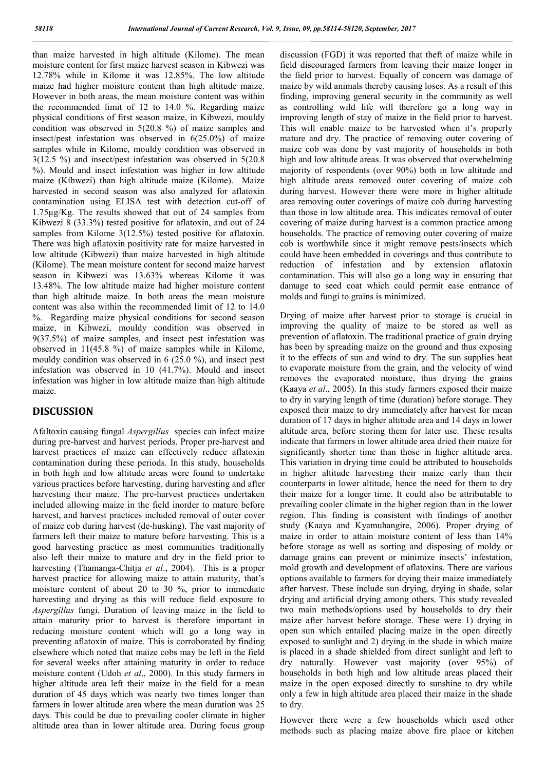than maize harvested in high altitude (Kilome). The mean moisture content for first maize harvest season in Kibwezi was 12.78% while in Kilome it was 12.85%. The low altitude maize had higher moisture content than high altitude maize. However in both areas, the mean moisture content was within the recommended limit of 12 to 14.0 %. Regarding maize physical conditions of first season maize, in Kibwezi, mouldy condition was observed in 5(20.8 %) of maize samples and insect/pest infestation was observed in 6(25.0%) of maize samples while in Kilome, mouldy condition was observed in 3(12.5 %) and insect/pest infestation was observed in 5(20.8 %). Mould and insect infestation was higher in low altitude maize (Kibwezi) than high altitude maize (Kilome). Maize harvested in second season was also analyzed for aflatoxin contamination using ELISA test with detection cut-off of 1.75µg/Kg. The results showed that out of 24 samples from Kibwezi 8 (33.3%) tested positive for aflatoxin, and out of 24 samples from Kilome 3(12.5%) tested positive for aflatoxin. There was high aflatoxin positivity rate for maize harvested in low altitude (Kibwezi) than maize harvested in high altitude (Kilome). The mean moisture content for second maize harvest season in Kibwezi was 13.63% whereas Kilome it was 13.48%. The low altitude maize had higher moisture content than high altitude maize. In both areas the mean moisture content was also within the recommended limit of 12 to 14.0 %. Regarding maize physical conditions for second season maize, in Kibwezi, mouldy condition was observed in 9(37.5%) of maize samples, and insect pest infestation was observed in 11(45.8 %) of maize samples while in Kilome, mouldy condition was observed in 6 (25.0 %), and insect pest infestation was observed in 10 (41.7%). Mould and insect infestation was higher in low altitude maize than high altitude maize.

# **DISCUSSION**

Afaltoxin causing fungal *Aspergillus* species can infect maize during pre-harvest and harvest periods. Proper pre-harvest and harvest practices of maize can effectively reduce aflatoxin contamination during these periods. In this study, households in both high and low altitude areas were found to undertake various practices before harvesting, during harvesting and after harvesting their maize. The pre-harvest practices undertaken included allowing maize in the field inorder to mature before harvest, and harvest practices included removal of outer cover of maize cob during harvest (de-husking). The vast majority of farmers left their maize to mature before harvesting. This is a good harvesting practice as most communities traditionally also left their maize to mature and dry in the field prior to harvesting (Thamanga-Chitja *et al*., 2004). This is a proper harvest practice for allowing maize to attain maturity, that's moisture content of about 20 to 30 %, prior to immediate harvesting and drying as this will reduce field exposure to *Aspergillus* fungi. Duration of leaving maize in the field to attain maturity prior to harvest is therefore important in reducing moisture content which will go a long way in preventing aflatoxin of maize. This is corroborated by finding elsewhere which noted that maize cobs may be left in the field for several weeks after attaining maturity in order to reduce moisture content (Udoh *et al*., 2000). In this study farmers in higher altitude area left their maize in the field for a mean duration of 45 days which was nearly two times longer than farmers in lower altitude area where the mean duration was 25 days. This could be due to prevailing cooler climate in higher altitude area than in lower altitude area. During focus group

discussion (FGD) it was reported that theft of maize while in field discouraged farmers from leaving their maize longer in the field prior to harvest. Equally of concern was damage of maize by wild animals thereby causing loses. As a result of this finding, improving general security in the community as well as controlling wild life will therefore go a long way in improving length of stay of maize in the field prior to harvest. This will enable maize to be harvested when it's properly mature and dry. The practice of removing outer covering of maize cob was done by vast majority of households in both high and low altitude areas. It was observed that overwhelming majority of respondents (over 90%) both in low altitude and high altitude areas removed outer covering of maize cob during harvest. However there were more in higher altitude area removing outer coverings of maize cob during harvesting than those in low altitude area. This indicates removal of outer covering of maize during harvest is a common practice among households. The practice of removing outer covering of maize cob is worthwhile since it might remove pests/insects which could have been embedded in coverings and thus contribute to reduction of infestation and by extension aflatoxin contamination. This will also go a long way in ensuring that damage to seed coat which could permit ease entrance of molds and fungi to grains is minimized.

Drying of maize after harvest prior to storage is crucial in improving the quality of maize to be stored as well as prevention of aflatoxin. The traditional practice of grain drying has been by spreading maize on the ground and thus exposing it to the effects of sun and wind to dry. The sun supplies heat to evaporate moisture from the grain, and the velocity of wind removes the evaporated moisture, thus drying the grains (Kaaya *et al*., 2005). In this study farmers exposed their maize to dry in varying length of time (duration) before storage. They exposed their maize to dry immediately after harvest for mean duration of 17 days in higher altitude area and 14 days in lower altitude area, before storing them for later use. These results indicate that farmers in lower altitude area dried their maize for significantly shorter time than those in higher altitude area. This variation in drying time could be attributed to households in higher altitude harvesting their maize early than their counterparts in lower altitude, hence the need for them to dry their maize for a longer time. It could also be attributable to prevailing cooler climate in the higher region than in the lower region. This finding is consistent with findings of another study (Kaaya and Kyamuhangire, 2006). Proper drying of maize in order to attain moisture content of less than 14% before storage as well as sorting and disposing of moldy or damage grains can prevent or minimize insects' infestation, mold growth and development of aflatoxins. There are various options available to farmers for drying their maize immediately after harvest. These include sun drying, drying in shade, solar drying and artificial drying among others. This study revealed two main methods/options used by households to dry their maize after harvest before storage. These were 1) drying in open sun which entailed placing maize in the open directly exposed to sunlight and 2) drying in the shade in which maize is placed in a shade shielded from direct sunlight and left to dry naturally. However vast majority (over 95%) of households in both high and low altitude areas placed their maize in the open exposed directly to sunshine to dry while only a few in high altitude area placed their maize in the shade to dry.

However there were a few households which used other methods such as placing maize above fire place or kitchen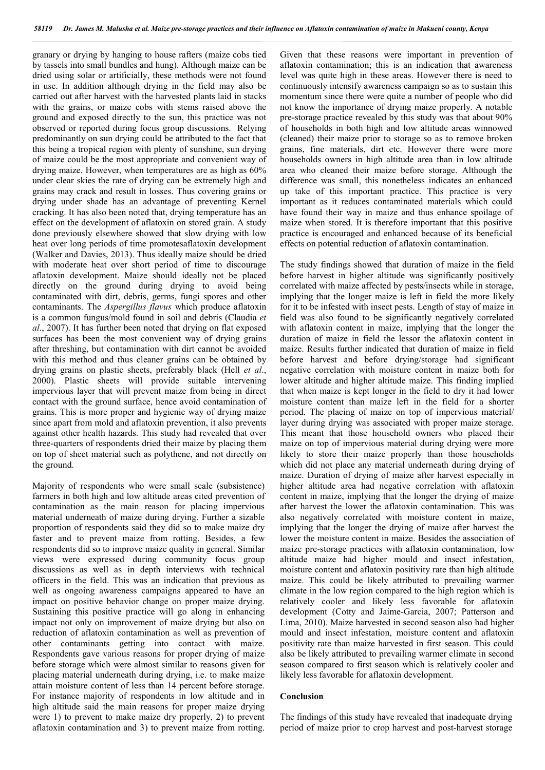granary or drying by hanging to house rafters (maize cobs tied by tassels into small bundles and hung). Although maize can be dried using solar or artificially, these methods were not found in use. In addition although drying in the field may also be carried out after harvest with the harvested plants laid in stacks with the grains, or maize cobs with stems raised above the ground and exposed directly to the sun, this practice was not observed or reported during focus group discussions. Relying predominantly on sun drying could be attributed to the fact that this being a tropical region with plenty of sunshine, sun drying of maize could be the most appropriate and convenient way of drying maize. However, when temperatures are as high as 60% under clear skies the rate of drying can be extremely high and grains may crack and result in losses. Thus covering grains or drying under shade has an advantage of preventing Kernel cracking. It has also been noted that, drying temperature has an effect on the development of aflatoxin on stored grain. A study done previously elsewhere showed that slow drying with low heat over long periods of time promotesaflatoxin development (Walker and Davies, 2013). Thus ideally maize should be dried with moderate heat over short period of time to discourage aflatoxin development. Maize should ideally not be placed directly on the ground during drying to avoid being contaminated with dirt, debris, germs, fungi spores and other contaminants. The *Aspergillus flavus* which produce aflatoxin is a common fungus/mold found in soil and debris (Claudia *et al*., 2007). It has further been noted that drying on flat exposed surfaces has been the most convenient way of drying grains after threshing, but contamination with dirt cannot be avoided with this method and thus cleaner grains can be obtained by drying grains on plastic sheets, preferably black (Hell *et al*., 2000). Plastic sheets will provide suitable intervening impervious layer that will prevent maize from being in direct contact with the ground surface, hence avoid contamination of grains. This is more proper and hygienic way of drying maize since apart from mold and aflatoxin prevention, it also prevents against other health hazards. This study had revealed that over three-quarters of respondents dried their maize by placing them on top of sheet material such as polythene, and not directly on the ground.

Majority of respondents who were small scale (subsistence) farmers in both high and low altitude areas cited prevention of contamination as the main reason for placing impervious material underneath of maize during drying. Further a sizable proportion of respondents said they did so to make maize dry faster and to prevent maize from rotting. Besides, a few respondents did so to improve maize quality in general. Similar views were expressed during community focus group discussions as well as in depth interviews with technical officers in the field. This was an indication that previous as well as ongoing awareness campaigns appeared to have an impact on positive behavior change on proper maize drying. Sustaining this positive practice will go along in enhancing impact not only on improvement of maize drying but also on reduction of aflatoxin contamination as well as prevention of other contaminants getting into contact with maize. Respondents gave various reasons for proper drying of maize before storage which were almost similar to reasons given for placing material underneath during drying, i.e. to make maize attain moisture content of less than 14 percent before storage. For instance majority of respondents in low altitude and in high altitude said the main reasons for proper maize drying were 1) to prevent to make maize dry properly, 2) to prevent aflatoxin contamination and 3) to prevent maize from rotting.

Given that these reasons were important in prevention of aflatoxin contamination; this is an indication that awareness level was quite high in these areas. However there is need to continuously intensify awareness campaign so as to sustain this momentum since there were quite a number of people who did not know the importance of drying maize properly. A notable pre-storage practice revealed by this study was that about 90% of households in both high and low altitude areas winnowed (cleaned) their maize prior to storage so as to remove broken grains, fine materials, dirt etc. However there were more households owners in high altitude area than in low altitude area who cleaned their maize before storage. Although the difference was small, this nonetheless indicates an enhanced up take of this important practice. This practice is very important as it reduces contaminated materials which could have found their way in maize and thus enhance spoilage of maize when stored. It is therefore important that this positive practice is encouraged and enhanced because of its beneficial effects on potential reduction of aflatoxin contamination.

The study findings showed that duration of maize in the field before harvest in higher altitude was significantly positively correlated with maize affected by pests/insects while in storage, implying that the longer maize is left in field the more likely for it to be infested with insect pests. Length of stay of maize in field was also found to be significantly negatively correlated with aflatoxin content in maize, implying that the longer the duration of maize in field the lessor the aflatoxin content in maize. Results further indicated that duration of maize in field before harvest and before drying/storage had significant negative correlation with moisture content in maize both for lower altitude and higher altitude maize. This finding implied that when maize is kept longer in the field to dry it had lower moisture content than maize left in the field for a shorter period. The placing of maize on top of impervious material/ layer during drying was associated with proper maize storage. This meant that those household owners who placed their maize on top of impervious material during drying were more likely to store their maize properly than those households which did not place any material underneath during drying of maize. Duration of drying of maize after harvest especially in higher altitude area had negative correlation with aflatoxin content in maize, implying that the longer the drying of maize after harvest the lower the aflatoxin contamination. This was also negatively correlated with moisture content in maize, implying that the longer the drying of maize after harvest the lower the moisture content in maize. Besides the association of maize pre-storage practices with aflatoxin contamination, low altitude maize had higher mould and insect infestation, moisture content and aflatoxin positivity rate than high altitude maize. This could be likely attributed to prevailing warmer climate in the low region compared to the high region which is relatively cooler and likely less favorable for aflatoxin development (Cotty and Jaime-Garcia, 2007; Patterson and Lima, 2010). Maize harvested in second season also had higher mould and insect infestation, moisture content and aflatoxin positivity rate than maize harvested in first season. This could also be likely attributed to prevailing warmer climate in second season compared to first season which is relatively cooler and likely less favorable for aflatoxin development.

# **Conclusion**

The findings of this study have revealed that inadequate drying period of maize prior to crop harvest and post-harvest storage